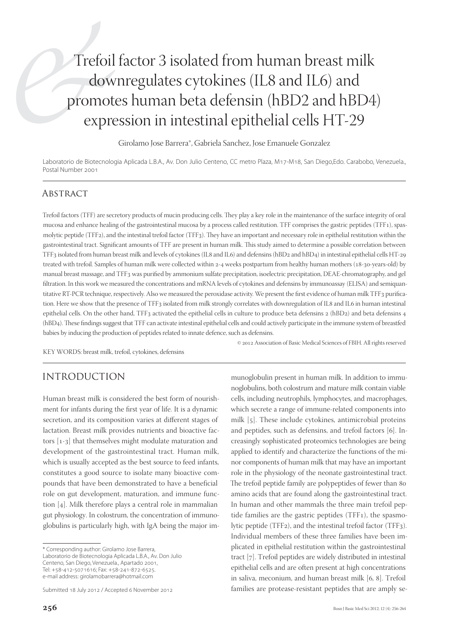# Trefoil factor 3 isolated from human breast milk downregulates cytokines (IL8 and IL6) and promotes human beta defensin (hBD2 and hBD4) expression in intestinal epithelial cells HT-29

Girolamo Jose Barrera\*, Gabriela Sanchez, Jose Emanuele Gonzalez

Laboratorio de Biotecnologia Aplicada L.B.A., Av. Don Julio Centeno, CC metro Plaza, M17-M18, San Diego,Edo. Carabobo, Venezuela., Postal Number 2001

## **ABSTRACT**

Trefoil factors (TFF) are secretory products of mucin producing cells. They play a key role in the maintenance of the surface integrity of oral mucosa and enhance healing of the gastrointestinal mucosa by a process called restitution. TFF comprises the gastric peptides (TFF), spasmolytic peptide (TFF2), and the intestinal trefoil factor (TFF3). They have an important and necessary role in epithelial restitution within the gastrointestinal tract. Significant amounts of TFF are present in human milk. This study aimed to determine a possible correlation between TFF3 isolated from human breast milk and levels of cytokines (IL8 and IL6) and defensins (hBD2 and hBD4) in intestinal epithelial cells HT-29 treated with trefoil. Samples of human milk were collected within 2-4 weeks postpartum from healthy human mothers (18-30-years-old) by manual breast massage, and TFF3 was purified by ammonium sulfate precipitation, isoelectric precipitation, DEAE-chromatography, and gel filtration. In this work we measured the concentrations and mRNA levels of cytokines and defensins by immunoassay (ELISA) and semiquantitative RT-PCR technique, respectively. Also we measured the peroxidase activity. We present the first evidence of human milk TFF3 purification. Here we show that the presence of TFF3 isolated from milk strongly correlates with downregulation of IL8 and IL6 in human intestinal epithelial cells. On the other hand, TFF3 activated the epithelial cells in culture to produce beta defensins 2 (hBD2) and beta defensins 4 (hBD4). These findings suggest that TFF can activate intestinal epithelial cells and could actively participate in the immune system of breastfed babies by inducing the production of peptides related to innate defence, such as defensins.

KEY WORDS: breast milk, trefoil, cytokines, defensins

 $©$  2012 Association of Basic Medical Sciences of FBIH. All rights reserved

# INTRODUCTION

Human breast milk is considered the best form of nourishment for infants during the first year of life. It is a dynamic secretion, and its composition varies at different stages of lactation. Breast milk provides nutrients and bioactive factors  $[1-3]$  that themselves might modulate maturation and development of the gastrointestinal tract. Human milk, which is usually accepted as the best source to feed infants, constitutes a good source to isolate many bioactive compounds that have been demonstrated to have a beneficial role on gut development, maturation, and immune function  $[4]$ . Milk therefore plays a central role in mammalian gut physiology. In colostrum, the concentration of immunoglobulins is particularly high, with IgA being the major im-

\* Corresponding author: Girolamo Jose Barrera, Laboratorio de Biotecnologia Aplicada L.B.A., Av. Don Julio Centeno, San Diego, Venezuela., Apartado 2001, Tel: +58-412-5071616; Fax: +58-241-872-6525. e-mail address: girolamobarrera@hotmail.com

Submitted 18 July 2012 / Accepted 6 November 2012

munoglobulin present in human milk. In addition to immunoglobulins, both colostrum and mature milk contain viable cells, including neutrophils, lymphocytes, and macrophages, which secrete a range of immune-related components into milk  $[5]$ . These include cytokines, antimicrobial proteins and peptides, such as defensins, and trefoil factors  $[6]$ . Increasingly sophisticated proteomics technologies are being applied to identify and characterize the functions of the minor components of human milk that may have an important role in the physiology of the neonate gastrointestinal tract. The trefoil peptide family are polypeptides of fewer than 80 amino acids that are found along the gastrointestinal tract. In human and other mammals the three main trefoil peptide families are the gastric peptides (TFF), the spasmolytic peptide (TFF2), and the intestinal trefoil factor (TFF3). Individual members of these three families have been implicated in epithelial restitution within the gastrointestinal tract  $[7]$ . Trefoil peptides are widely distributed in intestinal epithelial cells and are often present at high concentrations in saliva, meconium, and human breast milk  $[6, 8]$ . Trefoil families are protease-resistant peptides that are amply se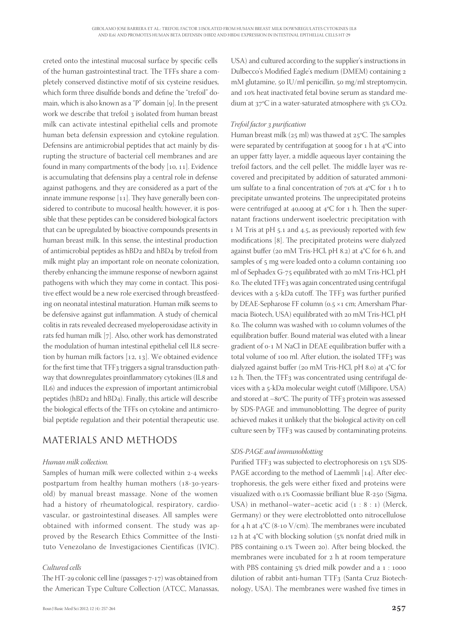creted onto the intestinal mucosal surface by specific cells of the human gastrointestinal tract. The TFFs share a completely conserved distinctive motif of six cysteine residues, which form three disulfide bonds and define the "trefoil" domain, which is also known as a "P" domain  $[g]$ . In the present work we describe that trefoil 3 isolated from human breast milk can activate intestinal epithelial cells and promote human beta defensin expression and cytokine regulation. Defensins are antimicrobial peptides that act mainly by disrupting the structure of bacterial cell membranes and are found in many compartments of the body  $[10, 11]$ . Evidence is accumulating that defensins play a central role in defense against pathogens, and they are considered as a part of the innate immune response  $[11]$ . They have generally been considered to contribute to mucosal health; however, it is possible that these peptides can be considered biological factors that can be upregulated by bioactive compounds presents in human breast milk. In this sense, the intestinal production of antimicrobial peptides as hBD2 and hBD4 by trefoil from milk might play an important role on neonate colonization, thereby enhancing the immune response of newborn against pathogens with which they may come in contact. This positive effect would be a new role exercised through breastfeeding on neonatal intestinal maturation. Human milk seems to be defensive against gut inflammation. A study of chemical colitis in rats revealed decreased myeloperoxidase activity in rats fed human milk [7]. Also, other work has demonstrated the modulation of human intestinal epithelial cell IL8 secretion by human milk factors  $[12, 13]$ . We obtained evidence for the first time that TFF3 triggers a signal transduction pathway that downregulates proinflammatory cytokines (IL8 and IL6) and induces the expression of important antimicrobial peptides (hBD2 and hBD4). Finally, this article will describe the biological effects of the TFFs on cytokine and antimicrobial peptide regulation and their potential therapeutic use.

## MATERIALS AND METHODS

#### *Human milk collection.*

Samples of human milk were collected within 2-4 weeks postpartum from healthy human mothers (18-30-yearsold) by manual breast massage. None of the women had a history of rheumatological, respiratory, cardiovascular, or gastrointestinal diseases. All samples were obtained with informed consent. The study was approved by the Research Ethics Committee of the Instituto Venezolano de Investigaciones Científicas (IVIC).

#### *Cultured cells*

The HT-29 colonic cell line (passages 7-17) was obtained from the American Type Culture Collection (ATCC, Manassas, USA) and cultured according to the supplier's instructions in Dulbecco's Modified Eagle's medium (DMEM) containing 2 mM glutamine,  $50 \text{ IU/ml}$  penicillin,  $50 \text{ mg/ml}$  streptomycin, and 10% heat inactivated fetal bovine serum as standard medium at  $37^{\circ}$ C in a water-saturated atmosphere with  $5\%$  CO<sub>2</sub>.

#### *Trefoil factor purifi cation*

Human breast milk ( $25$  ml) was thawed at  $25$ °C. The samples were separated by centrifugation at 5000g for 1 h at  $4^{\circ}$ C into an upper fatty layer, a middle aqueous layer containing the trefoil factors, and the cell pellet. The middle layer was recovered and precipitated by addition of saturated ammonium sulfate to a final concentration of  $70\%$  at  $4^{\circ}$ C for 1 h to precipitate unwanted proteins. The unprecipitated proteins were centrifuged at 40,000g at  $4^{\circ}C$  for 1 h. Then the supernatant fractions underwent isoelectric precipitation with 1 M Tris at pH 5.1 and 4.5, as previously reported with few modifications [8]. The precipitated proteins were dialyzed against buffer (20 mM Tris-HCl, pH 8.2) at 4°C for 6 h, and samples of 5 mg were loaded onto a column containing 100 ml of Sephadex G-75 equilibrated with 20 mM Tris-HCl, pH 8.o. The eluted TFF3 was again concentrated using centrifugal devices with a  $5$ -kDa cutoff. The TFF3 was further purified by DEAE-Sepharose FF column (0.5 ×1 cm; Amersham Pharmacia Biotech, USA) equilibrated with 20 mM Tris-HCl, pH 8.o. The column was washed with 10 column volumes of the equilibration buffer. Bound material was eluted with a linear gradient of 0-1 M NaCl in DEAE equilibration buffer with a total volume of 100 ml. After elution, the isolated TFF3 was dialyzed against buffer (20 mM Tris-HCl, pH 8.0) at 4°C for 12 h. Then, the TFF3 was concentrated using centrifugal devices with a 5-kDa molecular weight cutoff (Millipore, USA) and stored at  $-80^{\circ}$ C. The purity of TFF<sub>3</sub> protein was assessed by SDS-PAGE and immunoblotting. The degree of purity achieved makes it unlikely that the biological activity on cell culture seen by TFF3 was caused by contaminating proteins.

#### *SDS-PAGE and immunoblotting*

Purified TFF<sub>3</sub> was subjected to electrophoresis on 15% SDS-PAGE according to the method of Laemmli [14]. After electrophoresis, the gels were either fixed and proteins were visualized with 0.1% Coomassie brilliant blue R-250 (Sigma, USA) in methanol–water–acetic acid  $(1 : 8 : 1)$  (Merck, Germany) or they were electroblotted onto nitrocellulose for 4 h at  $4^{\circ}C$  (8-10 V/cm). The membranes were incubated 12 h at  $4^{\circ}$ C with blocking solution (5% nonfat dried milk in PBS containing 0.1% Tween 20). After being blocked, the membranes were incubated for 2 h at room temperature with PBS containing  $5\%$  dried milk powder and a  $1:1000$ dilution of rabbit anti-human TTF3 (Santa Cruz Biotechnology, USA). The membranes were washed five times in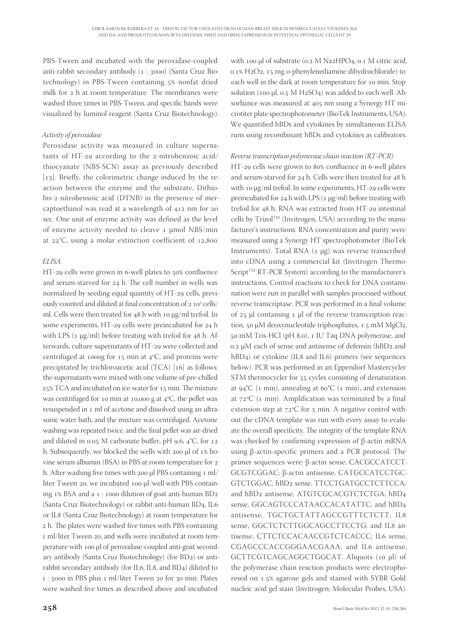PBS-Tween and incubated with the peroxidase-coupled anti-rabbit secondary antibody (1:3000) (Santa Cruz Biotechnology) in PBS-Tween containing 5% nonfat dried milk for 2 h at room temperature. The membranes were washed three times in PBS-Tween, and specific bands were visualized by luminol reagent (Santa Cruz Biotechnology).

#### *Activity of peroxidase*

Peroxidase activity was measured in culture supernatants of HT-29 according to the 2-nitrobenzoic acid/ thiocyanate (NBS-SCN) assay as previously described  $[15]$ . Briefly, the colorimetric change induced by the reaction between the enzyme and the substrate, Dithiobis-2-nitrobensoic acid (DTNB) in the presence of mercaptoethanol was read at a wavelength of  $412$  nm for  $20$ sec. One unit of enzyme activity was defined as the level of enzyme activity needed to cleave μmol NBS/min at  $22^{\circ}$ C, using a molar extinction coefficient of 12,800.

#### *ELISA*

HT-29 cells were grown in 6-well plates to 50% confluence and serum-starved for 24 h. The cell number in wells was normalized by seeding equal quantity of HT-29 cells, previously counted and diluted at final concentration of 2 10<sup>5</sup> cells/ ml. Cells were then treated for 48 h with 10 μg/ml trefoil. In some experiments, HT-29 cells were preincubated for 24 h with LPS ( $_1 \mu$ g/ml) before treating with trefoil for 48 h. Afterwards, culture supernatants of HT-29 were collected and centrifuged at 1000g for 15 min at  $4^{\circ}$ C, and proteins were precipitated by trichloroacetic acid  $(TCA)$  [16] as follows: the supernatants were mixed with one volume of pre-chilled  $25\%$  TCA and incubated on ice-water for  $15$  min. The mixture was centrifuged for 10 min at 10,000 g at  $4^{\circ}$ C, the pellet was resuspended in 1 ml of acetone and dissolved using an ultrasonic water bath, and the mixture was centrifuged. Acetone washing was repeated twice, and the final pellet was air-dried and diluted in 0.05 M carbonate buffer, pH 9.6,  $4^{\circ}$ C, for 12 h. Subsequently, we blocked the wells with 200  $\mu$ l of 1% bovine serum albumin (BSA) in PBS at room temperature for h. After washing five times with 200 µl PBS containing 1 ml/ liter Tween 20, we incubated 100 μl/well with PBS containing  $1\%$  BSA and a  $1:1000$  dilution of goat anti-human BD2 (Santa Cruz Biotechnology) or rabbit anti-human BD4, IL6 or IL8 (Santa Cruz Biotechnology) at room temperature for 2 h. The plates were washed five times with PBS containing 1 ml/liter Tween 20, and wells were incubated at room temperature with 100 µl of peroxidase-coupled anti-goat secondary antibody (Santa Cruz Biotechnology) (for BD2) or antirabbit secondary antibody (for IL6, IL8, and BD4) diluted to 1 : 5000 in PBS plus 1 ml/liter Tween 20 for 30 min. Plates were washed five times as described above and incubated

with 100 μl of substrate (0.2 Μ Νa2ΗPO4, 0.1 Μ citric acid,  $0.1\%$  H<sub>2</sub>O<sub>2</sub>, 15 mg o-phenylenediamine dihydrochloride) to each well in the dark at room temperature for 10 min. Stop solution (100  $\mu$ l, 0.5 M H<sub>2</sub>SO<sub>4</sub>) was added to each well. Absorbance was measured at 405 nm using a Synergy HT microtiter plate spectrophotometer (BioTek Instruments, USA). We quantified hBDs and cytokines by simultaneous ELISA runs using recombinant hBDs and cytokines as calibrators.

#### *Reverse transcription polymerase chain reaction (RT-PCR)*

HT-29 cells were grown to 80% confluence in 6-well plates and serum-starved for  $24$  h. Cells were then treated for  $48$  h with 10  $\mu$ g/ml trefoil. In some experiments, HT-29 cells were preincubated for  $24$  h with LPS (1  $\mu$ g/ml) before treating with trefoil for  $48$  h. RNA was extracted from HT-29 intestinal cells by Trizol™ (Invitrogen, USA) according to the manufacturer's instructions. RNA concentration and purity were measured using a Synergy HT spectrophotometer (BioTek Instruments). Total RNA (1 μg) was reverse transcribed into cDNA using a commercial kit (Invitrogen Thermo-Script<sup>TM</sup> RT-PCR System) according to the manufacturer's instructions. Control reactions to check for DNA contamination were run in parallel with samples processed without reverse transcriptase. PCR was performed in a final volume of  $25$  µl containing  $1$  µl of the reverse transcription reaction, 50 μM deoxynucleotide triphosphates, 1.5 mM MgCl2, 50 mM Tris-HCl (pH 8.0), 1 IU Taq DNA polymerase, and  $0.2 \mu$ M each of sense and antisense of defensin (hBD<sub>2</sub> and hBD<sub>4</sub>) or cytokine (IL8 and IL6) primers (see sequences below). PCR was performed in an Eppendorf Mastercycler STM thermocycler for 35 cycles consisting of denaturation at 94°C (1 min), annealing at 60°C (1 min), and extension at  $72^{\circ}$ C (1 min). Amplification was terminated by a final extension step at  $72^{\circ}$ C for 5 min. A negative control without the cDNA template was run with every assay to evaluate the overall specificity. The integrity of the template RNA was checked by confirming expression of β-actin mRNA using β-actin-specific primers and a PCR protocol. The primer sequences were: β-actin sense, CACGCCATCCT-GCGTCGGAC; β-actin antisense, CATGCCATCCTGC-GTCTGGAC; hBD2 sense, TTCCTGATGCCTCTTCCA; and hBD2 antisense, ATGTCGCACGTCTCTGA; hBD4 sense, GGCAGTCCCATAACCACATATTC; and hBD antisense, TGCTGCTATTAGCCGTTTCTCTT; IL sense, GGCTCTCTTGGCAGCCTTCCTG; and IL8 antisense, CTTCTCCACAACCGTCTCACCC; IL6 sense, CGAGCCCACCGGGAACGAAA; and IL6 antisense, GCTTCGTCAGCAGGCTGGCAT. Aliquots (10 μl) of the polymerase chain reaction products were electrophoresed on 1.5% agarose gels and stained with SYBR Gold nucleic acid gel stain (Invitrogen; Molecular Probes, USA).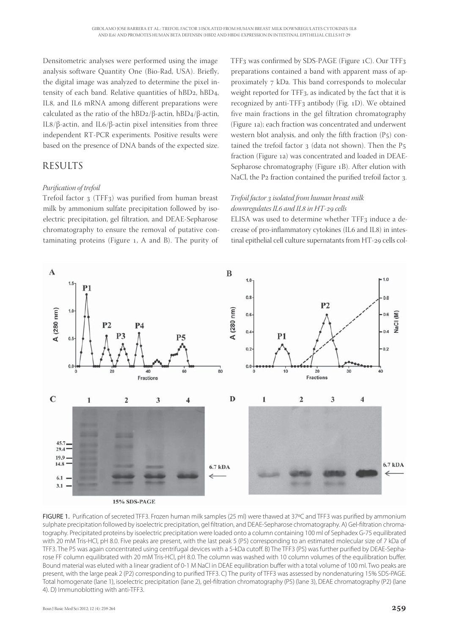Densitometric analyses were performed using the image analysis software Quantity One (Bio-Rad, USA). Briefly, the digital image was analyzed to determine the pixel intensity of each band. Relative quantities of  $hBD_2$ ,  $hBD_4$ , IL8, and IL6 mRNA among different preparations were calculated as the ratio of the hBD2/β-actin, hBD4/β-actin, IL8/β-actin, and IL6/β-actin pixel intensities from three independent RT-PCR experiments. Positive results were based on the presence of DNA bands of the expected size.

# RESULTS

#### *Purifi cation of trefoil*

Trefoil factor  $3$  (TFF $3$ ) was purified from human breast milk by ammonium sulfate precipitation followed by isoelectric precipitation, gel filtration, and DEAE-Sepharose chromatography to ensure the removal of putative contaminating proteins (Figure  $_1$ , A and B). The purity of

TFF<sub>3</sub> was confirmed by SDS-PAGE (Figure  $1C$ ). Our TFF<sub>3</sub> preparations contained a band with apparent mass of approximately kDa. This band corresponds to molecular weight reported for TFF<sub>3</sub>, as indicated by the fact that it is recognized by anti-TFF3 antibody (Fig. 1D). We obtained five main fractions in the gel filtration chromatography (Figure a); each fraction was concentrated and underwent western blot analysis, and only the fifth fraction  $(P_5)$  contained the trefoil factor  $3$  (data not shown). Then the P $5$ fraction (Figure 1a) was concentrated and loaded in DEAE-Sepharose chromatography (Figure 1B). After elution with NaCl, the P2 fraction contained the purified trefoil factor 3.

#### *Trefoil factor isolated from human breast milk downregulates IL and IL in HT- cells*

ELISA was used to determine whether TFF3 induce a decrease of pro-inflammatory cytokines (IL6 and IL8) in intestinal epithelial cell culture supernatants from HT-29 cells col-



15% SDS-PAGE

FIGURE 1. Purification of secreted TFF3. Frozen human milk samples (25 ml) were thawed at 37°C and TFF3 was purified by ammonium sulphate precipitation followed by isoelectric precipitation, gel filtration, and DEAE-Sepharose chromatography. A) Gel-filtration chromatography. Precipitated proteins by isoelectric precipitation were loaded onto a column containing 100 ml of Sephadex G-75 equilibrated with 20 mM Tris-HCl, pH 8.0. Five peaks are present, with the last peak 5 (P5) corresponding to an estimated molecular size of 7 kDa of TFF3. The P5 was again concentrated using centrifugal devices with a 5-kDa cutoff. B) The TFF3 (P5) was further purified by DEAE-Sepharose FF column equilibrated with 20 mM Tris-HCl, pH 8.0. The column was washed with 10 column volumes of the equilibration buffer. Bound material was eluted with a linear gradient of 0-1 M NaCl in DEAE equilibration buffer with a total volume of 100 ml. Two peaks are present, with the large peak 2 (P2) corresponding to purified TFF3. C) The purity of TFF3 was assessed by nondenaturing 15% SDS-PAGE. Total homogenate (lane 1), isoelectric precipitation (lane 2), gel-filtration chromatography (P5) (lane 3), DEAE chromatography (P2) (lane 4). D) Immunoblotting with anti-TFF3.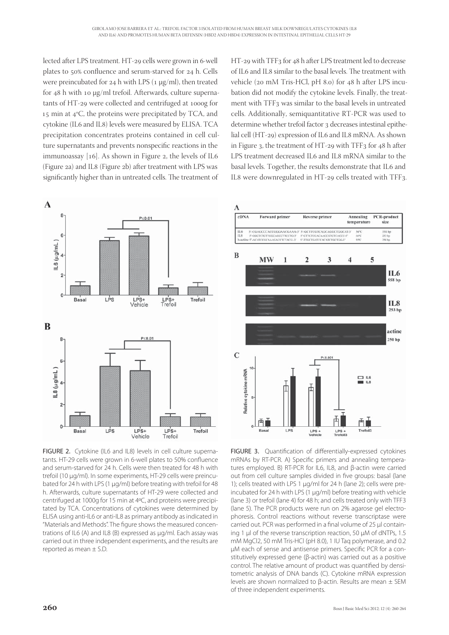lected after LPS treatment. HT-29 cells were grown in 6-well plates to 50% confluence and serum-starved for 24 h. Cells were preincubated for  $24$  h with LPS ( $1 \mu g/ml$ ), then treated for 48 h with 10 μg/ml trefoil. Afterwards, culture supernatants of HT-29 were collected and centrifuged at 1000g for 15 min at  $4^{\circ}$ C, the proteins were precipitated by TCA, and cytokine (IL6 and IL8) levels were measured by ELISA. TCA precipitation concentrates proteins contained in cell culture supernatants and prevents nonspecific reactions in the immunoassay  $[16]$ . As shown in Figure 2, the levels of IL6 (Figure 2a) and IL8 (Figure 2b) after treatment with LPS was significantly higher than in untreated cells. The treatment of



FIGURE 2. Cytokine (IL6 and IL8) levels in cell culture supernatants. HT-29 cells were grown in 6-well plates to 50% confluence and serum-starved for 24 h. Cells were then treated for 48 h with trefoil (10 μg/ml). In some experiments, HT-29 cells were preincubated for 24 h with LPS (1 μg/ml) before treating with trefoil for 48 h. Afterwards, culture supernatants of HT-29 were collected and centrifuged at 1000g for 15 min at 4ºC, and proteins were precipitated by TCA. Concentrations of cytokines were determined by ELISA using anti-IL6 or anti-IL8 as primary antibody as indicated in "Materials and Methods". The figure shows the measured concentrations of IL6 (A) and IL8 (B) expressed as μg/ml. Each assay was carried out in three independent experiments, and the results are reported as mean ± S.D.

HT-29 with TFF<sub>3</sub> for 48 h after LPS treatment led to decrease of IL6 and IL8 similar to the basal levels. The treatment with vehicle (20 mM Tris-HCl, pH 8.0) for 48 h after LPS incubation did not modify the cytokine levels. Finally, the treatment with TFF3 was similar to the basal levels in untreated cells. Additionally, semiquantitative RT-PCR was used to determine whether trefoil factor 3 decreases intestinal epithelial cell (HT-29) expression of IL6 and IL8 mRNA. As shown in Figure 3, the treatment of HT-29 with TFF3 for  $48$  h after LPS treatment decreased IL6 and IL8 mRNA similar to the basal levels. Together, the results demonstrate that IL6 and IL8 were downregulated in HT-29 cells treated with TFF3.



FIGURE 3. Ouantification of differentially-expressed cytokines mRNAs by RT-PCR. A) Specific primers and annealing temperatures employed. B) RT-PCR for IL6, IL8, and β-actin were carried out from cell culture samples divided in five groups: basal (lane 1); cells treated with LPS 1 μg/ml for 24 h (lane 2); cells were preincubated for 24 h with LPS (1 μg/ml) before treating with vehicle (lane 3) or trefoil (lane 4) for 48 h; and cells treated only with TFF3 (lane 5). The PCR products were run on 2% agarose gel electrophoresis. Control reactions without reverse transcriptase were carried out. PCR was performed in a final volume of 25 μl containing 1 μl of the reverse transcription reaction, 50 μM of dNTPs, 1.5 mM MgCl2, 50 mM Tris-HCl (pH 8.0), 1 IU Taq polymerase, and 0.2 μM each of sense and antisense primers. Specific PCR for a constitutively expressed gene (β-actin) was carried out as a positive control. The relative amount of product was quantified by densitometric analysis of DNA bands (C). Cytokine mRNA expression levels are shown normalized to β-actin. Results are mean ± SEM of three independent experiments.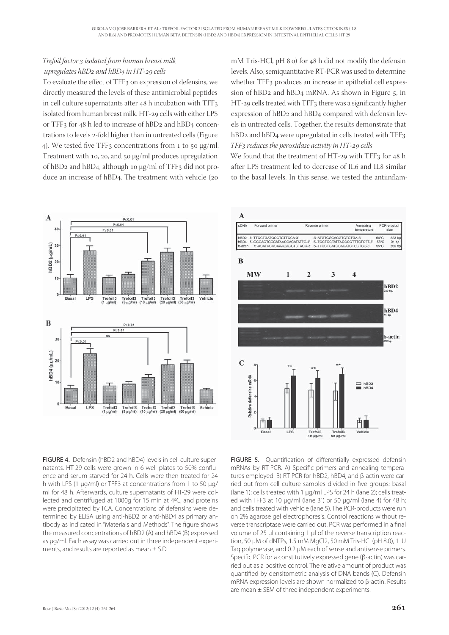### *Trefoil factor isolated from human breast milk upregulates hBD<sub>2</sub> and hBD<sub>4</sub> in HT-29 cells*

To evaluate the effect of TFF<sub>3</sub> on expression of defensins, we directly measured the levels of these antimicrobial peptides in cell culture supernatants after  $48$  h incubation with TFF<sub>3</sub> isolated from human breast milk. HT-29 cells with either LPS or TFF<sub>3</sub> for  $48$  h led to increase of hBD<sub>2</sub> and hBD<sub>4</sub> concentrations to levels 2-fold higher than in untreated cells (Figure 4). We tested five TFF3 concentrations from 1 to 50 μg/ml. Treatment with 10, 20, and 50  $\mu$ g/ml produces upregulation of hBD<sub>2</sub> and hBD<sub>4</sub>, although 10  $\mu$ g/ml of TFF<sub>3</sub> did not produce an increase of hBD4. The treatment with vehicle (20

mM Tris-HCl,  $pH_1$  8.0) for 48 h did not modify the defensin levels. Also, semiquantitative RT-PCR was used to determine whether TFF<sub>3</sub> produces an increase in epithelial cell expression of  $hBD_2$  and  $hBD_4$  mRNA. As shown in Figure 5, in HT-29 cells treated with TFF3 there was a significantly higher expression of hBD2 and hBD4 compared with defensin levels in untreated cells. Together, the results demonstrate that hBD<sub>2</sub> and hBD<sub>4</sub> were upregulated in cells treated with TFF<sub>3</sub>. *TFF reduces the peroxidase activity in HT- cells*

We found that the treatment of HT-29 with TFF3 for  $48$  h after LPS treatment led to decrease of IL6 and IL8 similar to the basal levels. In this sense, we tested the antiinflam-







FIGURE 5. Quantification of differentially expressed defensin mRNAs by RT-PCR. A) Specific primers and annealing temperatures employed. B) RT-PCR for hBD2, hBD4, and β-actin were carried out from cell culture samples divided in five groups: basal (lane 1); cells treated with 1 μg/ml LPS for 24 h (lane 2); cells treated with TFF3 at 10 μg/ml (lane 3`) or 50 μg/ml (lane 4) for 48 h; and cells treated with vehicle (lane 5). The PCR-products were run on 2% agarose gel electrophoresis. Control reactions without reverse transcriptase were carried out. PCR was performed in a final volume of 25 μl containing 1 μl of the reverse transcription reaction, 50 μM of dNTPs, 1.5 mM MgCl2, 50 mM Tris-HCl (pH 8.0), 1 IU Taq polymerase, and 0.2 μM each of sense and antisense primers. Specific PCR for a constitutively expressed gene (β-actin) was carried out as a positive control. The relative amount of product was quantified by densitometric analysis of DNA bands (C). Defensin mRNA expression levels are shown normalized to β-actin. Results are mean ± SEM of three independent experiments.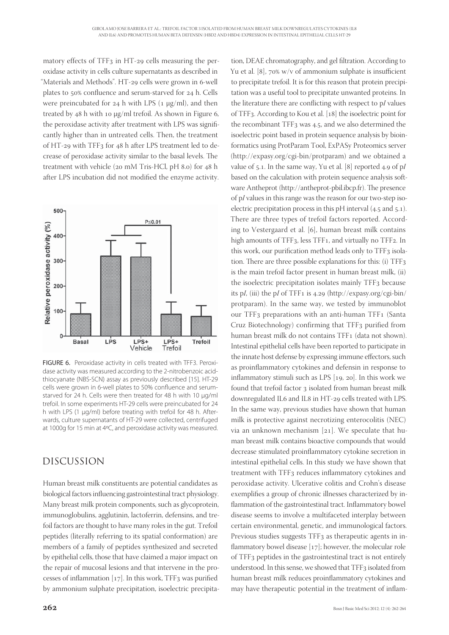matory effects of TFF<sub>3</sub> in HT-29 cells measuring the peroxidase activity in cells culture supernatants as described in "Materials and Methods". HT-29 cells were grown in 6-well plates to 50% confluence and serum-starved for 24 h. Cells were preincubated for  $24$  h with LPS (1  $\mu$ g/ml), and then treated by  $48$  h with 10  $\mu$ g/ml trefoil. As shown in Figure 6, the peroxidase activity after treatment with LPS was significantly higher than in untreated cells. Then, the treatment of HT-29 with TFF3 for 48 h after LPS treatment led to decrease of peroxidase activity similar to the basal levels. The treatment with vehicle ( $20 \text{ mM}$  Tris-HCl,  $pH$  8.0) for  $48 \text{ h}$ after LPS incubation did not modified the enzyme activity.



FIGURE 6. Peroxidase activity in cells treated with TFF3. Peroxidase activity was measured according to the 2-nitrobenzoic acidthiocyanate (NBS-SCN) assay as previously described [15]. HT-29 cells were grown in 6-well plates to 50% confluence and serumstarved for 24 h. Cells were then treated for 48 h with 10 μg/ml trefoil. In some experiments HT-29 cells were preincubated for 24 h with LPS (1 μg/ml) before treating with trefoil for 48 h. Afterwards, culture supernatants of HT-29 were collected, centrifuged at 1000g for 15 min at 4ºC, and peroxidase activity was measured.

# DISCUSSION

Human breast milk constituents are potential candidates as biological factors influencing gastrointestinal tract physiology. Many breast milk protein components, such as glycoprotein, immunoglobulins, agglutinin, lactoferrin, defensins, and trefoil factors are thought to have many roles in the gut. Trefoil peptides (literally referring to its spatial conformation) are members of a family of peptides synthesized and secreted by epithelial cells, those that have claimed a major impact on the repair of mucosal lesions and that intervene in the processes of inflammation  $[17]$ . In this work, TFF3 was purified by ammonium sulphate precipitation, isoelectric precipita-

to precipitate trefoil. It is for this reason that protein precipitation was a useful tool to precipitate unwanted proteins. In the literature there are conflicting with respect to p*I* values of TFF3. According to Kou et al. [18] the isoelectric point for the recombinant TFF $_3$  was 4.5, and we also determined the isoelectric point based in protein sequence analysis by bioinformatics using ProtParam Tool, ExPASy Proteomics server (http://expasy.org/cgi-bin/protparam) and we obtained a value of  $5.1$ . In the same way, Yu et al. [8] reported  $4.9$  of p*I* based on the calculation with protein sequence analysis software Antheprot (http://antheprot-pbil.ibcp.fr). The presence of p*I* values in this range was the reason for our two-step isoelectric precipitation process in this pH interval  $(4.5 \text{ and } 5.1)$ . There are three types of trefoil factors reported. According to Vestergaard et al. [6], human breast milk contains high amounts of TFF3, less TFF1, and virtually no TFF2. In this work, our purification method leads only to TFF3 isolation. There are three possible explanations for this:  $(i)$  TFF<sub>3</sub> is the main trefoil factor present in human breast milk, (ii) the isoelectric precipitation isolates mainly TFF3 because its p*I*, (iii) the p*I* of TFF1 is 4.29 (http://expasy.org/cgi-bin/ protparam). In the same way, we tested by immunoblot our TFF<sub>3</sub> preparations with an anti-human TFF<sub>1</sub> (Santa Cruz Biotechnology) confirming that TFF3 purified from human breast milk do not contains TFF1 (data not shown). Intestinal epithelial cells have been reported to participate in the innate host defense by expressing immune effectors, such as proinflammatory cytokines and defensin in response to inflammatory stimuli such as LPS  $[19, 20]$ . In this work we found that trefoil factor 3 isolated from human breast milk downregulated IL6 and IL8 in HT-29 cells treated with LPS. In the same way, previous studies have shown that human milk is protective against necrotizing enterocolitis (NEC) via an unknown mechanism  $[21]$ . We speculate that human breast milk contains bioactive compounds that would decrease stimulated proinflammatory cytokine secretion in intestinal epithelial cells. In this study we have shown that treatment with TFF3 reduces inflammatory cytokines and peroxidase activity. Ulcerative colitis and Crohn's disease exemplifies a group of chronic illnesses characterized by inflammation of the gastrointestinal tract. Inflammatory bowel disease seems to involve a multifaceted interplay between certain environmental, genetic, and immunological factors. Previous studies suggests TFF3 as therapeutic agents in inflammatory bowel disease  $[17]$ ; however, the molecular role of TFF<sub>3</sub> peptides in the gastrointestinal tract is not entirely understood. In this sense, we showed that TFF3 isolated from human breast milk reduces proinflammatory cytokines and may have therapeutic potential in the treatment of inflam-

tion, DEAE chromatography, and gel filtration. According to Yu et al. [8],  $70\%$  w/v of ammonium sulphate is insufficient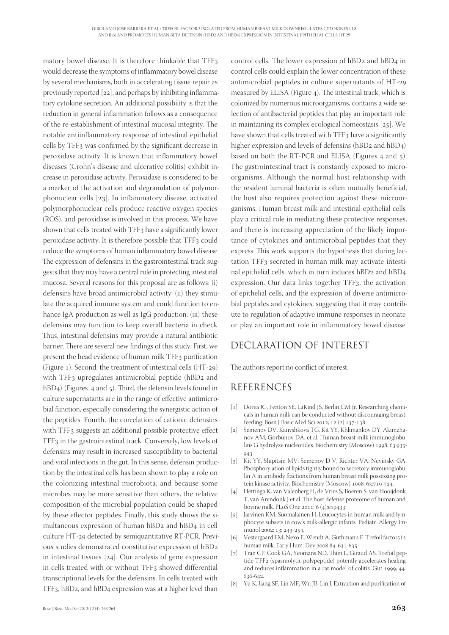matory bowel disease. It is therefore thinkable that TFF would decrease the symptoms of inflammatory bowel disease by several mechanisms, both in accelerating tissue repair as previously reported  $[22]$ , and perhaps by inhibiting inflammatory cytokine secretion. An additional possibility is that the reduction in general inflammation follows as a consequence of the re-establishment of intestinal mucosal integrity. The notable antiinflammatory response of intestinal epithelial cells by TFF<sub>3</sub> was confirmed by the significant decrease in peroxidase activity. It is known that inflammatory bowel diseases (Crohn's disease and ulcerative colitis) exhibit increase in peroxidase activity. Peroxidase is considered to be a marker of the activation and degranulation of polymorphonuclear cells  $[23]$ . In inflammatory disease, activated polymorphonuclear cells produce reactive oxygen species (ROS), and peroxidase is involved in this process. We have shown that cells treated with TFF3 have a significantly lower peroxidase activity. It is therefore possible that TFF3 could reduce the symptoms of human inflammatory bowel disease. The expression of defensins in the gastrointestinal track suggests that they may have a central role in protecting intestinal mucosa. Several reasons for this proposal are as follows: (i) defensins have broad antimicrobial activity; (ii) they stimulate the acquired immune system and could function to enhance IgA production as well as IgG production; (iii) these defensins may function to keep overall bacteria in check. Thus, intestinal defensins may provide a natural antibiotic barrier. There are several new findings of this study. First, we present the head evidence of human milk TFF3 purification (Figure 1). Second, the treatment of intestinal cells  $(HT-29)$ with TFF<sub>3</sub> upregulates antimicrobial peptide (hBD<sub>2</sub> and  $hBD_4$ ) (Figures. 4 and 5). Third, the defensin levels found in culture supernatants are in the range of effective antimicrobial function, especially considering the synergistic action of the peptides. Fourth, the correlation of cationic defensins with TFF<sub>3</sub> suggests an additional possible protective effect TFF<sub>3</sub> in the gastrointestinal track. Conversely, low levels of defensins may result in increased susceptibility to bacterial and viral infections in the gut. In this sense, defensin production by the intestinal cells has been shown to play a role on the colonizing intestinal microbiota, and because some microbes may be more sensitive than others, the relative composition of the microbial population could be shaped by these effector peptides. Finally, this study shows the simultaneous expression of human hBD2 and hBD4 in cell culture HT-29 detected by semiquantitative RT-PCR. Previous studies demonstrated constitutive expression of hBD in intestinal tissues  $[24]$ . Our analysis of gene expression in cells treated with or without TFF3 showed differential transcriptional levels for the defensins. In cells treated with TFF<sub>3</sub>, hBD<sub>2</sub>, and hBD<sub>4</sub> expression was at a higher level than

control cells. The lower expression of hBD<sub>2</sub> and hBD<sub>4</sub> in control cells could explain the lower concentration of these antimicrobial peptides in culture supernatants of HT measured by ELISA (Figure  $4$ ). The intestinal track, which is colonized by numerous microorganisms, contains a wide selection of antibacterial peptides that play an important role in maintaining its complex ecological homeostasis  $[25]$ . We have shown that cells treated with TFF3 have a significantly higher expression and levels of defensins (hBD2 and hBD4) based on both the RT-PCR and ELISA (Figures  $4$  and  $5$ ). The gastrointestinal tract is constantly exposed to microorganisms. Although the normal host relationship with the resident luminal bacteria is often mutually beneficial, the host also requires protection against these microorganisms. Human breast milk and intestinal epithelial cells play a critical role in mediating these protective responses, and there is increasing appreciation of the likely importance of cytokines and antimicrobial peptides that they express. This work supports the hypothesis that during lactation TFF<sub>3</sub> secreted in human milk may activate intestinal epithelial cells, which in turn induces hBD2 and hBD4 expression. Our data links together TFF3, the activation of epithelial cells, and the expression of diverse antimicrobial peptides and cytokines, suggesting that it may contribute to regulation of adaptive immune responses in neonate or play an important role in inflammatory bowel disease.

## DECLARATION OF INTEREST

The authors report no conflict of interest.

# REFERENCES

- [1] Dórea JG, Fenton SE, LaKind JS, Berlin CM Jr. Researching chemicals in human milk can be conducted without discouraging breastfeeding. Bosn J Basic Med Sci 2012; 12 (2):137-138.
- [2] Semenov DV, Kanyshkova TG, Kit YY, Khlimankov DY, Akimzhanov AM, Gorbunov DA, et al. Human breast milk immunoglobulins G hydrolyze nucleotides. Biochemistry (Moscow) 1998; 63:935-943
- [3] Kit YY, Shipitsin MV, Semenov D V, Richter VA, Nevinsky GA. Phosphorylation of lipids tightly bound to secretory immunoglobulin A in antibody fractions from human breast milk possessing protein kinase activity. Biochemistry (Moscow) 1998; 63:719-724.
- [4] Hettinga K, van Valenberg H, de Vries S, Boeren S, van Hooijdonk T, van Arendonk J et al. The host defense proteome of human and bovine milk. PLoS One 2011; 6 (4):e19433.
- [5] Jarvinen KM, Suomalainen H. Leucocytes in human milk and lymphocyte subsets in cow's milk-allergic infants. Pediatr. Allergy Immunol 2002; 13: 243-254.
- Vestergaard EM, Nexo E, Wendt A, Guthmann F. Trefoil factors in human milk. Early Hum. Dev 2008 84: 631-635.
- [7] Tran CP, Cook GA, Yeomans ND, Thim L, Giraud AS. Trefoil peptide TFF2 (spasmolytic polypeptide) potently accelerates healing and reduces inflammation in a rat model of colitis. Gut 1999; 44: 636-642
- [8] Yu K, Jiang SF, Lin MF, Wu JB, Lin J. Extraction and purification of